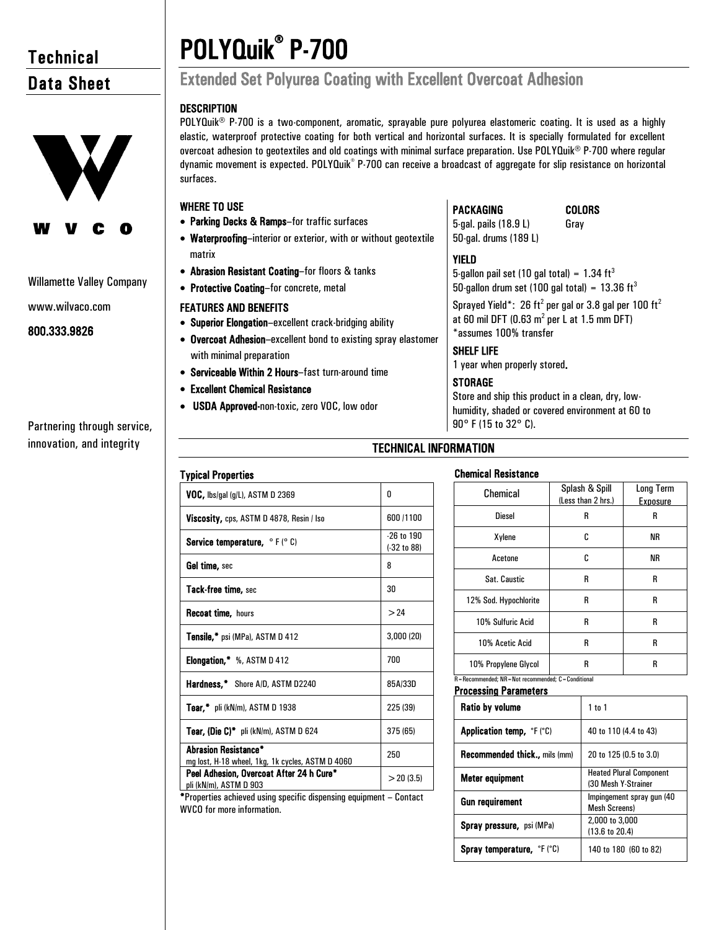# **Technical** Data Sheet



Willamette Valley Company

www.wilvaco.com

800.333.9826

Partnering through service, innovation, and integrity

# POLYQuik® P-700

# Extended Set Polyurea Coating with Excellent Overcoat Adhesion

# **DESCRIPTION**

POLYQuik<sup>®</sup> P-700 is a two-component, aromatic, sprayable pure polyurea elastomeric coating. It is used as a highly elastic, waterproof protective coating for both vertical and horizontal surfaces. It is specially formulated for excellent overcoat adhesion to geotextiles and old coatings with minimal surface preparation. Use POLYQuik® P-700 where regular dynamic movement is expected. POLYQuik® P-700 can receive a broadcast of aggregate for slip resistance on horizontal surfaces.

# WHERE TO USE

- Parking Decks & Ramps-for traffic surfaces
- Waterproofing–interior or exterior, with or without geotextile matrix
- Abrasion Resistant Coating–for floors & tanks
- Protective Coating–for concrete, metal

# FEATURES AND BENEFITS

- Superior Elongation–excellent crack-bridging ability
- Overcoat Adhesion–excellent bond to existing spray elastomer with minimal preparation
- Serviceable Within 2 Hours–fast turn-around time
- Excellent Chemical Resistance
- USDA Approved-non-toxic, zero VOC, low odor

# PACKAGING

5-gal. pails (18.9 L) 50-gal. drums (189 L)

# COLORS Gray

# YIELD

5-gallon pail set (10 gal total) =  $1.34 \text{ ft}^3$ 50-gallon drum set (100 gal total) =  $13.36 \text{ ft}^3$ 

Sprayed Yield\*: 26 ft<sup>2</sup> per gal or 3.8 gal per 100 ft<sup>2</sup> at 60 mil DFT (0.63  $m^2$  per L at 1.5 mm DFT) \*assumes 100% transfer

# SHELF LIFE

1 year when properly stored.

# **STORAGE**

Store and ship this product in a clean, dry, lowhumidity, shaded or covered environment at 60 to 90° F (15 to 32° C).

# TECHNICAL INFORMATION

| <b>Typical Properties</b>                                                       |                                 |
|---------------------------------------------------------------------------------|---------------------------------|
| VOC, lbs/gal (g/L), ASTM D 2369                                                 | O                               |
| Viscosity, cps, ASTM D 4878, Resin / Iso                                        | 600 / 1100                      |
| <b>Service temperature, </b> $\circ$ F ( $\circ$ C)                             | $-26$ to $190$<br>$(-32 to 88)$ |
| Gel time, sec                                                                   | 8                               |
| Tack-free time, sec                                                             | 30                              |
| <b>Recoat time, hours</b>                                                       | > 24                            |
| <b>Tensile,*</b> psi (MPa), ASTM D 412                                          | 3,000(20)                       |
| <b>Elongation,*</b> %, ASTM D 412                                               | 700                             |
| Hardness,* Shore A/D, ASTM D2240                                                | 85A/33D                         |
| <b>Tear,</b> $\bullet$ pli (kN/m), ASTM D 1938                                  | 225 (39)                        |
| Tear, (Die C)* pli (kN/m), ASTM D 624                                           | 375 (65)                        |
| <b>Abrasion Resistance*</b><br>mg lost, H-18 wheel, 1kg, 1k cycles, ASTM D 4060 | 250                             |
| Peel Adhesion, Overcoat After 24 h Cure*<br>pli (kN/m), ASTM D 903              | $>$ 20 (3.5)                    |

\*Properties achieved using specific dispensing equipment – Contact WVCO for more information.

# Chemical Resistance

| Chemical              | Splash & Spill<br>(Less than 2 hrs.)                   | <b>Long Term</b><br>Exposure |  |
|-----------------------|--------------------------------------------------------|------------------------------|--|
| <b>Diesel</b>         | R                                                      | R                            |  |
| Xylene                | C                                                      | ΝR                           |  |
| Acetone               | C                                                      | ΝR                           |  |
| Sat. Caustic          | R                                                      | R                            |  |
| 12% Sod. Hypochlorite | R                                                      | R                            |  |
| 10% Sulfuric Acid     | R                                                      | R                            |  |
| 10% Acetic Acid       | R                                                      | R                            |  |
| 10% Propylene Glycol  | R                                                      | R                            |  |
|                       | R = Recommended; NR = Not recommended; C = Conditional |                              |  |

# Processing Parameters

| <b>Ratio by volume</b>                                                       | 1 to 1                                                |
|------------------------------------------------------------------------------|-------------------------------------------------------|
| <b>Application temp, <math>{}^{\circ}</math>F (<math>{}^{\circ}</math>C)</b> | 40 to 110 (4.4 to 43)                                 |
| <b>Recommended thick., mils (mm)</b>                                         | 20 to 125 (0.5 to 3.0)                                |
| Meter equipment                                                              | <b>Heated Plural Component</b><br>(30 Mesh Y-Strainer |
| <b>Gun requirement</b>                                                       | Impingement spray gun (40<br><b>Mesh Screens)</b>     |
| <b>Spray pressure, psi (MPa)</b>                                             | 2,000 to 3,000<br>$(13.6 \text{ to } 20.4)$           |
| <b>Spray temperature, <i>°F (°C)</i></b>                                     | 140 to 180 (60 to 82)                                 |